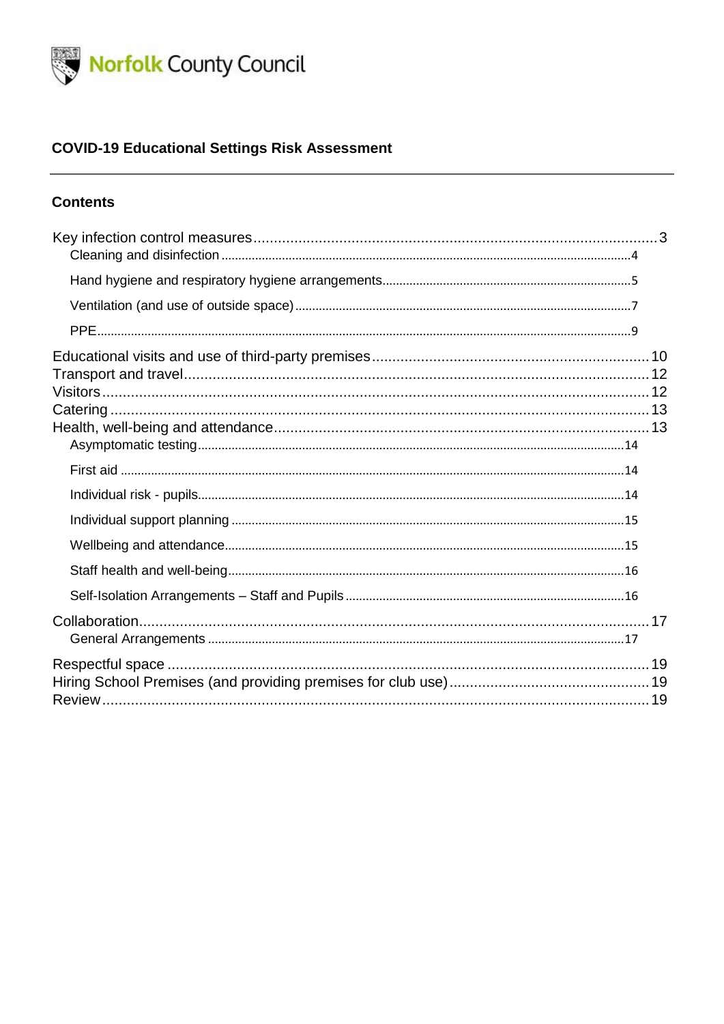

### **COVID-19 Educational Settings Risk Assessment**

#### **Contents**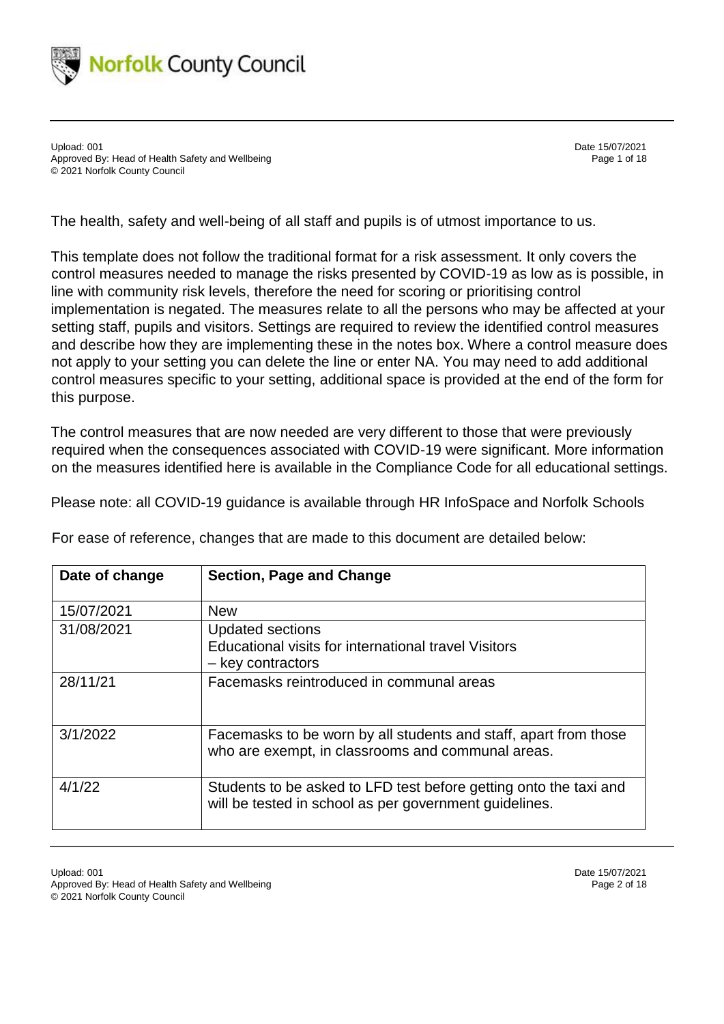

Upload: 001 Date 15/07/2021 Approved By: Head of Health Safety and Wellbeing Page 1 of 18 © 2021 Norfolk County Council

The health, safety and well-being of all staff and pupils is of utmost importance to us.

This template does not follow the traditional format for a risk assessment. It only covers the control measures needed to manage the risks presented by COVID-19 as low as is possible, in line with community risk levels, therefore the need for scoring or prioritising control implementation is negated. The measures relate to all the persons who may be affected at your setting staff, pupils and visitors. Settings are required to review the identified control measures and describe how they are implementing these in the notes box. Where a control measure does not apply to your setting you can delete the line or enter NA. You may need to add additional control measures specific to your setting, additional space is provided at the end of the form for this purpose.

The control measures that are now needed are very different to those that were previously required when the consequences associated with COVID-19 were significant. More information on the measures identified here is available in the Compliance Code for all educational settings.

Please note: all COVID-19 guidance is available through HR InfoSpace and Norfolk Schools

| Date of change | <b>Section, Page and Change</b>                                                                                             |
|----------------|-----------------------------------------------------------------------------------------------------------------------------|
| 15/07/2021     | <b>New</b>                                                                                                                  |
| 31/08/2021     | <b>Updated sections</b><br>Educational visits for international travel Visitors<br>- key contractors                        |
| 28/11/21       | Facemasks reintroduced in communal areas                                                                                    |
| 3/1/2022       | Facemasks to be worn by all students and staff, apart from those<br>who are exempt, in classrooms and communal areas.       |
| 4/1/22         | Students to be asked to LFD test before getting onto the taxi and<br>will be tested in school as per government guidelines. |

For ease of reference, changes that are made to this document are detailed below: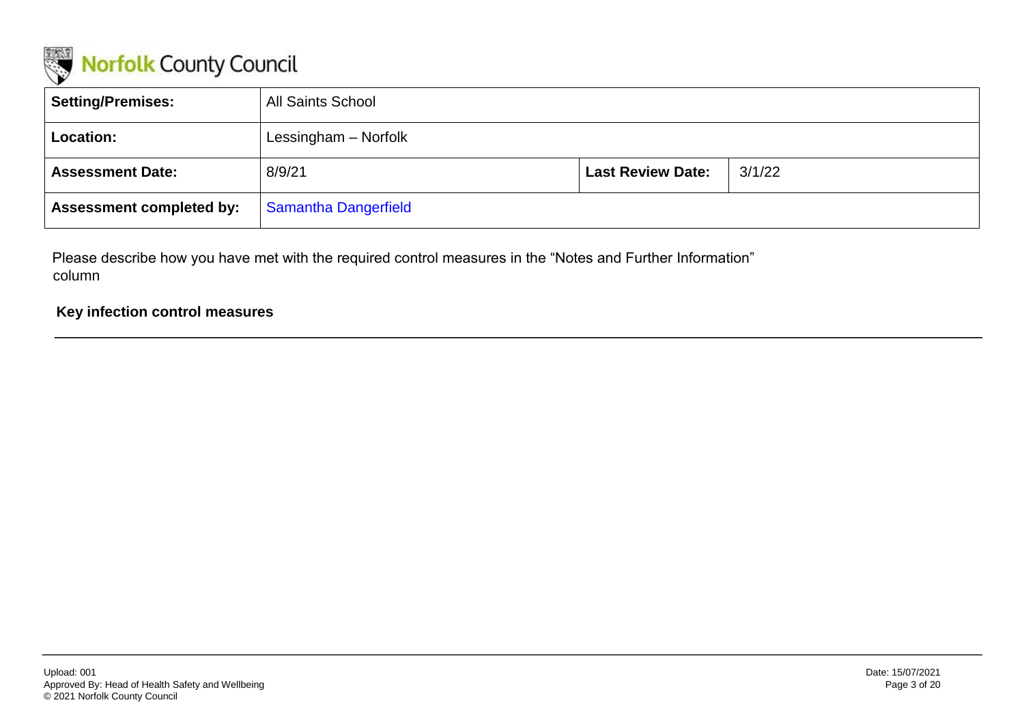

| <b>Setting/Premises:</b>        | <b>All Saints School</b>    |                          |        |
|---------------------------------|-----------------------------|--------------------------|--------|
| Location:                       | Lessingham - Norfolk        |                          |        |
| <b>Assessment Date:</b>         | 8/9/21                      | <b>Last Review Date:</b> | 3/1/22 |
| <b>Assessment completed by:</b> | <b>Samantha Dangerfield</b> |                          |        |

Please describe how you have met with the required control measures in the "Notes and Further Information" column

#### <span id="page-2-0"></span>**Key infection control measures**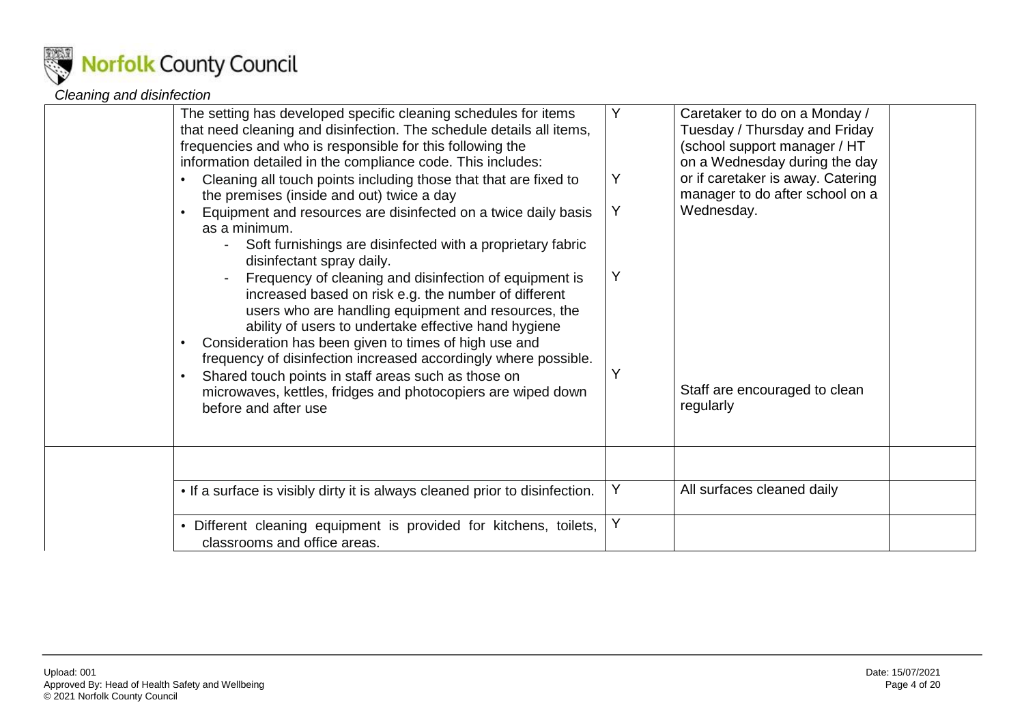

#### *Cleaning and disinfection*

<span id="page-3-0"></span>

| The setting has developed specific cleaning schedules for items<br>that need cleaning and disinfection. The schedule details all items,<br>frequencies and who is responsible for this following the<br>information detailed in the compliance code. This includes:<br>Cleaning all touch points including those that that are fixed to<br>the premises (inside and out) twice a day<br>Equipment and resources are disinfected on a twice daily basis<br>as a minimum.<br>Soft furnishings are disinfected with a proprietary fabric<br>disinfectant spray daily.<br>Frequency of cleaning and disinfection of equipment is<br>increased based on risk e.g. the number of different<br>users who are handling equipment and resources, the<br>ability of users to undertake effective hand hygiene<br>Consideration has been given to times of high use and<br>frequency of disinfection increased accordingly where possible.<br>Shared touch points in staff areas such as those on<br>microwaves, kettles, fridges and photocopiers are wiped down<br>before and after use | Υ<br>Y<br>Υ<br>Υ<br>Y | Caretaker to do on a Monday /<br>Tuesday / Thursday and Friday<br>(school support manager / HT<br>on a Wednesday during the day<br>or if caretaker is away. Catering<br>manager to do after school on a<br>Wednesday.<br>Staff are encouraged to clean<br>regularly |
|--------------------------------------------------------------------------------------------------------------------------------------------------------------------------------------------------------------------------------------------------------------------------------------------------------------------------------------------------------------------------------------------------------------------------------------------------------------------------------------------------------------------------------------------------------------------------------------------------------------------------------------------------------------------------------------------------------------------------------------------------------------------------------------------------------------------------------------------------------------------------------------------------------------------------------------------------------------------------------------------------------------------------------------------------------------------------------|-----------------------|---------------------------------------------------------------------------------------------------------------------------------------------------------------------------------------------------------------------------------------------------------------------|
| • If a surface is visibly dirty it is always cleaned prior to disinfection.                                                                                                                                                                                                                                                                                                                                                                                                                                                                                                                                                                                                                                                                                                                                                                                                                                                                                                                                                                                                    | Υ                     | All surfaces cleaned daily                                                                                                                                                                                                                                          |
| • Different cleaning equipment is provided for kitchens, toilets,<br>classrooms and office areas.                                                                                                                                                                                                                                                                                                                                                                                                                                                                                                                                                                                                                                                                                                                                                                                                                                                                                                                                                                              | Υ                     |                                                                                                                                                                                                                                                                     |
|                                                                                                                                                                                                                                                                                                                                                                                                                                                                                                                                                                                                                                                                                                                                                                                                                                                                                                                                                                                                                                                                                |                       |                                                                                                                                                                                                                                                                     |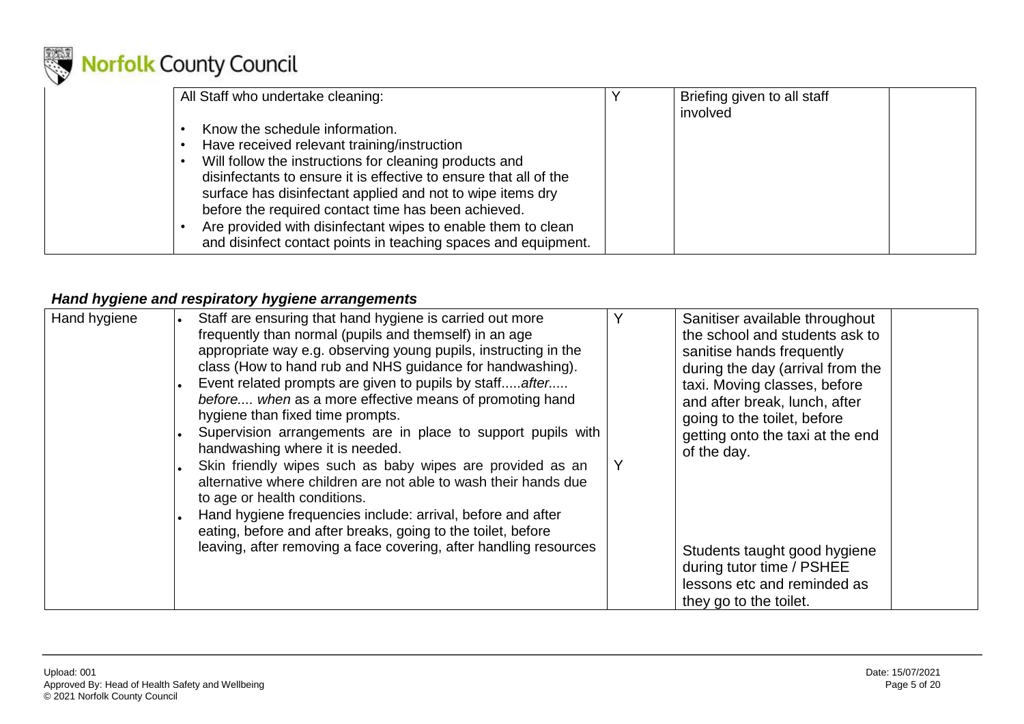

| All Staff who undertake cleaning:                                                                                                                                                                                                                | Briefing given to all staff<br>involved |  |
|--------------------------------------------------------------------------------------------------------------------------------------------------------------------------------------------------------------------------------------------------|-----------------------------------------|--|
| Know the schedule information.                                                                                                                                                                                                                   |                                         |  |
| Have received relevant training/instruction                                                                                                                                                                                                      |                                         |  |
| Will follow the instructions for cleaning products and<br>disinfectants to ensure it is effective to ensure that all of the<br>surface has disinfectant applied and not to wipe items dry<br>before the required contact time has been achieved. |                                         |  |
| Are provided with disinfectant wipes to enable them to clean<br>and disinfect contact points in teaching spaces and equipment.                                                                                                                   |                                         |  |

#### *Hand hygiene and respiratory hygiene arrangements*

<span id="page-4-0"></span>

| Hand hygiene | Staff are ensuring that hand hygiene is carried out more<br>frequently than normal (pupils and themself) in an age<br>appropriate way e.g. observing young pupils, instructing in the<br>class (How to hand rub and NHS guidance for handwashing).<br>Event related prompts are given to pupils by staff after<br>before when as a more effective means of promoting hand<br>hygiene than fixed time prompts.<br>Supervision arrangements are in place to support pupils with<br>handwashing where it is needed.<br>Skin friendly wipes such as baby wipes are provided as an<br>alternative where children are not able to wash their hands due<br>to age or health conditions.<br>Hand hygiene frequencies include: arrival, before and after<br>eating, before and after breaks, going to the toilet, before<br>leaving, after removing a face covering, after handling resources | Sanitiser available throughout<br>the school and students ask to<br>sanitise hands frequently<br>during the day (arrival from the<br>taxi. Moving classes, before<br>and after break, lunch, after<br>going to the toilet, before<br>getting onto the taxi at the end<br>of the day.<br>Students taught good hygiene<br>during tutor time / PSHEE |
|--------------|--------------------------------------------------------------------------------------------------------------------------------------------------------------------------------------------------------------------------------------------------------------------------------------------------------------------------------------------------------------------------------------------------------------------------------------------------------------------------------------------------------------------------------------------------------------------------------------------------------------------------------------------------------------------------------------------------------------------------------------------------------------------------------------------------------------------------------------------------------------------------------------|---------------------------------------------------------------------------------------------------------------------------------------------------------------------------------------------------------------------------------------------------------------------------------------------------------------------------------------------------|
|              |                                                                                                                                                                                                                                                                                                                                                                                                                                                                                                                                                                                                                                                                                                                                                                                                                                                                                      | lessons etc and reminded as<br>they go to the toilet.                                                                                                                                                                                                                                                                                             |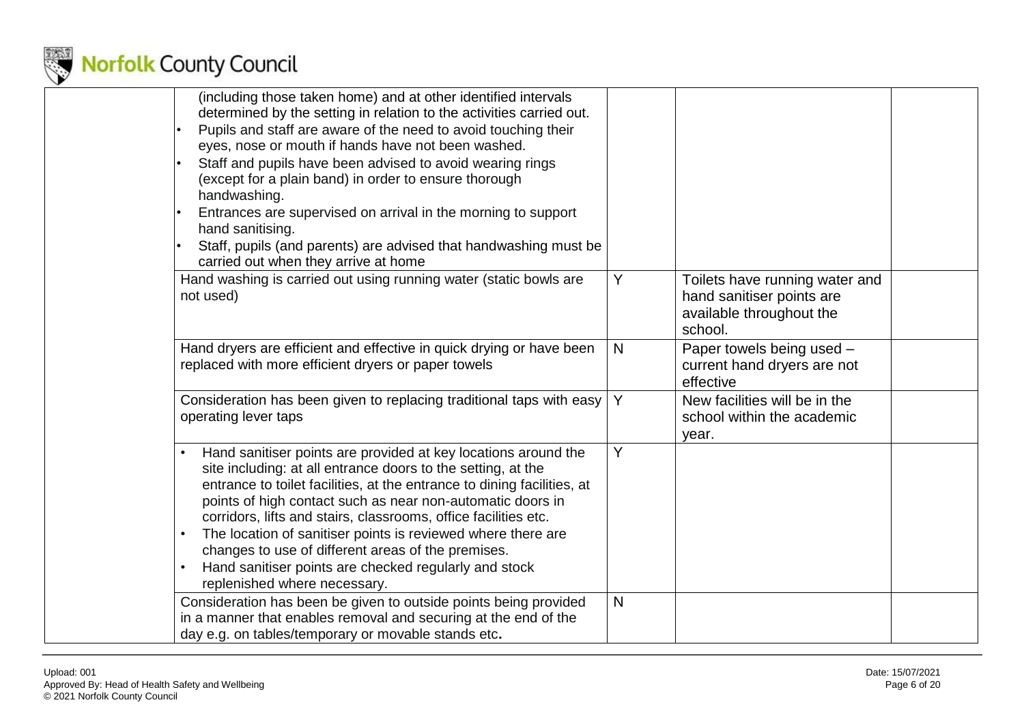

| (including those taken home) and at other identified intervals<br>determined by the setting in relation to the activities carried out.<br>Pupils and staff are aware of the need to avoid touching their<br>eyes, nose or mouth if hands have not been washed.<br>Staff and pupils have been advised to avoid wearing rings<br>(except for a plain band) in order to ensure thorough<br>handwashing.<br>Entrances are supervised on arrival in the morning to support<br>hand sanitising.<br>Staff, pupils (and parents) are advised that handwashing must be<br>carried out when they arrive at home |              |                                                                                                    |  |
|-------------------------------------------------------------------------------------------------------------------------------------------------------------------------------------------------------------------------------------------------------------------------------------------------------------------------------------------------------------------------------------------------------------------------------------------------------------------------------------------------------------------------------------------------------------------------------------------------------|--------------|----------------------------------------------------------------------------------------------------|--|
| Hand washing is carried out using running water (static bowls are<br>not used)                                                                                                                                                                                                                                                                                                                                                                                                                                                                                                                        | Y            | Toilets have running water and<br>hand sanitiser points are<br>available throughout the<br>school. |  |
| Hand dryers are efficient and effective in quick drying or have been<br>replaced with more efficient dryers or paper towels                                                                                                                                                                                                                                                                                                                                                                                                                                                                           | N            | Paper towels being used -<br>current hand dryers are not<br>effective                              |  |
| Consideration has been given to replacing traditional taps with easy<br>operating lever taps                                                                                                                                                                                                                                                                                                                                                                                                                                                                                                          | Y            | New facilities will be in the<br>school within the academic<br>year.                               |  |
| Hand sanitiser points are provided at key locations around the<br>site including: at all entrance doors to the setting, at the<br>entrance to toilet facilities, at the entrance to dining facilities, at<br>points of high contact such as near non-automatic doors in<br>corridors, lifts and stairs, classrooms, office facilities etc.<br>The location of sanitiser points is reviewed where there are<br>changes to use of different areas of the premises.<br>Hand sanitiser points are checked regularly and stock<br>$\bullet$<br>replenished where necessary.                                | Y            |                                                                                                    |  |
| Consideration has been be given to outside points being provided<br>in a manner that enables removal and securing at the end of the<br>day e.g. on tables/temporary or movable stands etc.                                                                                                                                                                                                                                                                                                                                                                                                            | $\mathsf{N}$ |                                                                                                    |  |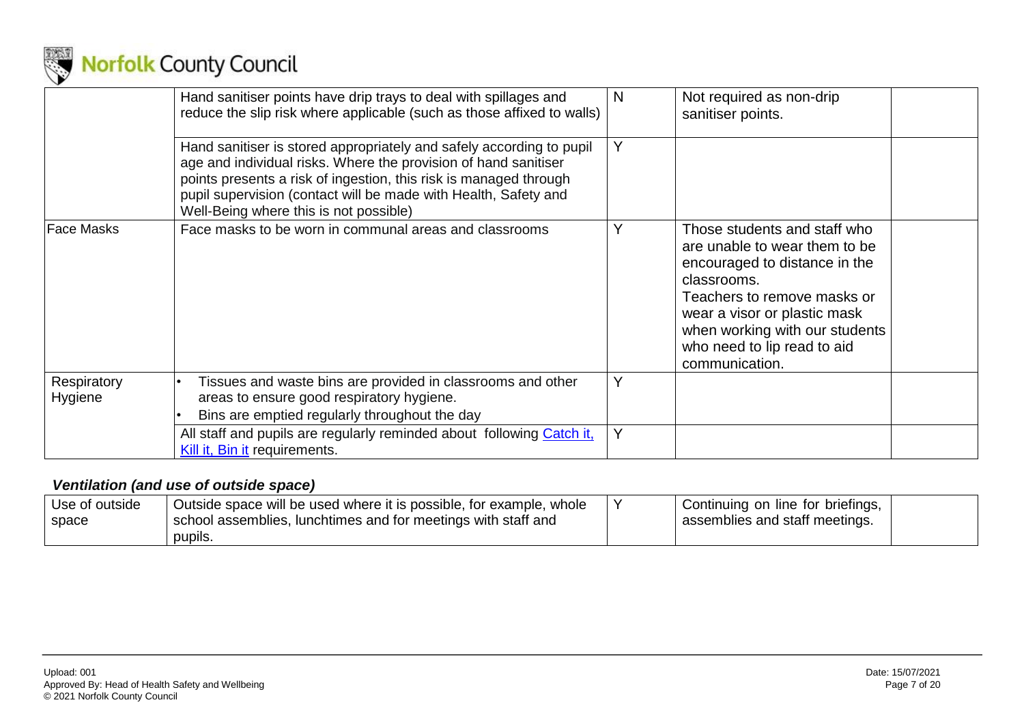

|                        | Hand sanitiser points have drip trays to deal with spillages and<br>reduce the slip risk where applicable (such as those affixed to walls)                                                                                                                                                                                | N | Not required as non-drip<br>sanitiser points.                                                                                                                                                                                                                   |
|------------------------|---------------------------------------------------------------------------------------------------------------------------------------------------------------------------------------------------------------------------------------------------------------------------------------------------------------------------|---|-----------------------------------------------------------------------------------------------------------------------------------------------------------------------------------------------------------------------------------------------------------------|
|                        | Hand sanitiser is stored appropriately and safely according to pupil<br>age and individual risks. Where the provision of hand sanitiser<br>points presents a risk of ingestion, this risk is managed through<br>pupil supervision (contact will be made with Health, Safety and<br>Well-Being where this is not possible) | Y |                                                                                                                                                                                                                                                                 |
| <b>Face Masks</b>      | Face masks to be worn in communal areas and classrooms                                                                                                                                                                                                                                                                    |   | Those students and staff who<br>are unable to wear them to be<br>encouraged to distance in the<br>classrooms.<br>Teachers to remove masks or<br>wear a visor or plastic mask<br>when working with our students<br>who need to lip read to aid<br>communication. |
| Respiratory<br>Hygiene | Tissues and waste bins are provided in classrooms and other<br>areas to ensure good respiratory hygiene.<br>Bins are emptied regularly throughout the day                                                                                                                                                                 |   |                                                                                                                                                                                                                                                                 |
|                        | All staff and pupils are regularly reminded about following Catch it.<br>Kill it, Bin it requirements.                                                                                                                                                                                                                    | Y |                                                                                                                                                                                                                                                                 |

### *Ventilation (and use of outside space)*

<span id="page-6-0"></span>

| Use of outside | Outside space will be used where it is possible, for example, whole | Continuing on line for briefings, |  |
|----------------|---------------------------------------------------------------------|-----------------------------------|--|
| space          | I school assemblies, lunchtimes and for meetings with staff and     | assemblies and staff meetings.    |  |
|                | pupils.                                                             |                                   |  |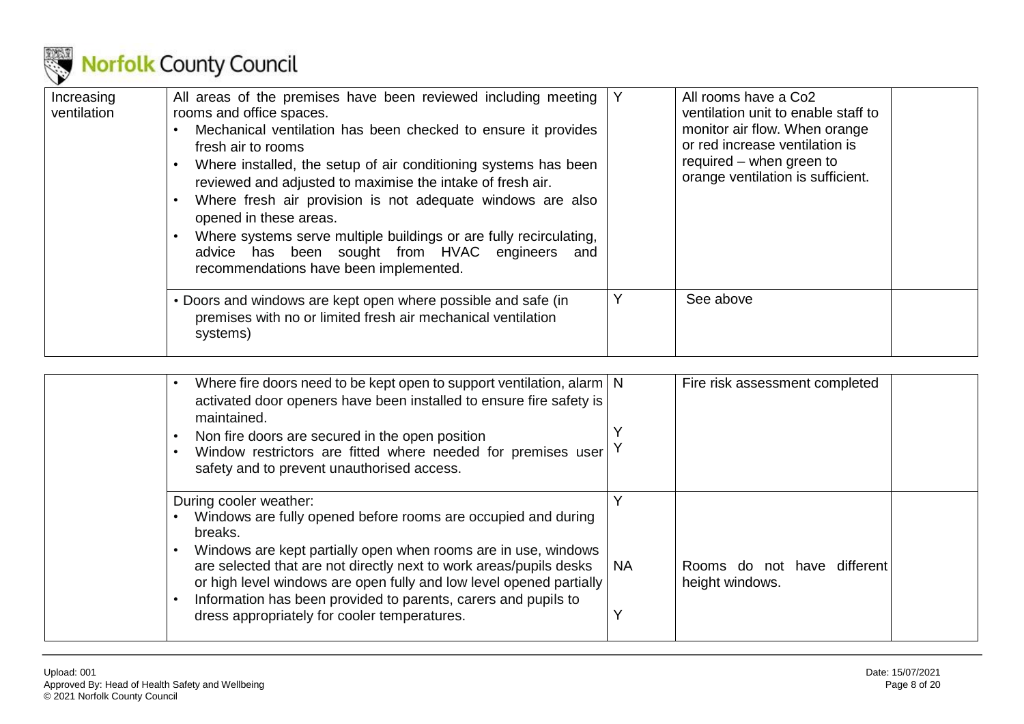

| Increasing<br>ventilation | All areas of the premises have been reviewed including meeting<br>rooms and office spaces.<br>Mechanical ventilation has been checked to ensure it provides<br>fresh air to rooms<br>Where installed, the setup of air conditioning systems has been<br>reviewed and adjusted to maximise the intake of fresh air.<br>Where fresh air provision is not adequate windows are also<br>opened in these areas.<br>Where systems serve multiple buildings or are fully recirculating,<br>advice has been sought from HVAC engineers and<br>recommendations have been implemented. |   | All rooms have a Co <sub>2</sub><br>ventilation unit to enable staff to<br>monitor air flow. When orange<br>or red increase ventilation is<br>required – when green to<br>orange ventilation is sufficient. |
|---------------------------|------------------------------------------------------------------------------------------------------------------------------------------------------------------------------------------------------------------------------------------------------------------------------------------------------------------------------------------------------------------------------------------------------------------------------------------------------------------------------------------------------------------------------------------------------------------------------|---|-------------------------------------------------------------------------------------------------------------------------------------------------------------------------------------------------------------|
|                           | • Doors and windows are kept open where possible and safe (in<br>premises with no or limited fresh air mechanical ventilation<br>systems)                                                                                                                                                                                                                                                                                                                                                                                                                                    | Υ | See above                                                                                                                                                                                                   |

| Where fire doors need to be kept open to support ventilation, alarm   N<br>activated door openers have been installed to ensure fire safety is<br>maintained.<br>Non fire doors are secured in the open position<br>Window restrictors are fitted where needed for premises user<br>$\bullet$<br>safety and to prevent unauthorised access.                                                                                         |           | Fire risk assessment completed                 |
|-------------------------------------------------------------------------------------------------------------------------------------------------------------------------------------------------------------------------------------------------------------------------------------------------------------------------------------------------------------------------------------------------------------------------------------|-----------|------------------------------------------------|
| During cooler weather:<br>Windows are fully opened before rooms are occupied and during<br>breaks.<br>Windows are kept partially open when rooms are in use, windows<br>are selected that are not directly next to work areas/pupils desks<br>or high level windows are open fully and low level opened partially<br>Information has been provided to parents, carers and pupils to<br>dress appropriately for cooler temperatures. | <b>NA</b> | Rooms do not have different<br>height windows. |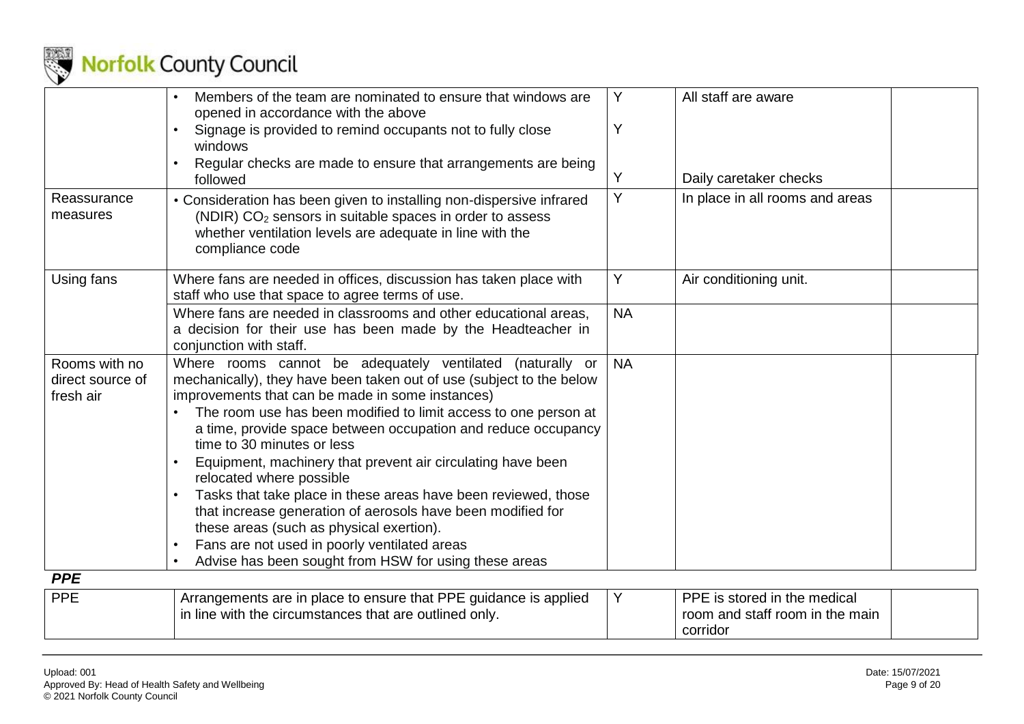

|                                                | Members of the team are nominated to ensure that windows are<br>opened in accordance with the above                                                                                                                                                                                                                                                                                                                                                                                                                                                                                                                                                                                                                                                                   | Y         | All staff are aware                                             |
|------------------------------------------------|-----------------------------------------------------------------------------------------------------------------------------------------------------------------------------------------------------------------------------------------------------------------------------------------------------------------------------------------------------------------------------------------------------------------------------------------------------------------------------------------------------------------------------------------------------------------------------------------------------------------------------------------------------------------------------------------------------------------------------------------------------------------------|-----------|-----------------------------------------------------------------|
|                                                | Signage is provided to remind occupants not to fully close<br>windows                                                                                                                                                                                                                                                                                                                                                                                                                                                                                                                                                                                                                                                                                                 | Y         |                                                                 |
|                                                | Regular checks are made to ensure that arrangements are being<br>followed                                                                                                                                                                                                                                                                                                                                                                                                                                                                                                                                                                                                                                                                                             | Y         | Daily caretaker checks                                          |
| Reassurance<br>measures                        | • Consideration has been given to installing non-dispersive infrared<br>(NDIR) CO <sub>2</sub> sensors in suitable spaces in order to assess<br>whether ventilation levels are adequate in line with the<br>compliance code                                                                                                                                                                                                                                                                                                                                                                                                                                                                                                                                           | Υ         | In place in all rooms and areas                                 |
| Using fans                                     | Where fans are needed in offices, discussion has taken place with<br>staff who use that space to agree terms of use.                                                                                                                                                                                                                                                                                                                                                                                                                                                                                                                                                                                                                                                  | Y         | Air conditioning unit.                                          |
|                                                | Where fans are needed in classrooms and other educational areas,<br>a decision for their use has been made by the Headteacher in<br>conjunction with staff.                                                                                                                                                                                                                                                                                                                                                                                                                                                                                                                                                                                                           | <b>NA</b> |                                                                 |
| Rooms with no<br>direct source of<br>fresh air | Where rooms cannot be adequately ventilated<br>(naturally or<br>mechanically), they have been taken out of use (subject to the below<br>improvements that can be made in some instances)<br>The room use has been modified to limit access to one person at<br>a time, provide space between occupation and reduce occupancy<br>time to 30 minutes or less<br>Equipment, machinery that prevent air circulating have been<br>relocated where possible<br>Tasks that take place in these areas have been reviewed, those<br>$\bullet$<br>that increase generation of aerosols have been modified for<br>these areas (such as physical exertion).<br>Fans are not used in poorly ventilated areas<br>$\bullet$<br>Advise has been sought from HSW for using these areas | <b>NA</b> |                                                                 |
| <b>PPE</b>                                     |                                                                                                                                                                                                                                                                                                                                                                                                                                                                                                                                                                                                                                                                                                                                                                       |           |                                                                 |
| <b>PPE</b>                                     | Arrangements are in place to ensure that PPE guidance is applied<br>in line with the circumstances that are outlined only.                                                                                                                                                                                                                                                                                                                                                                                                                                                                                                                                                                                                                                            | Y         | PPE is stored in the medical<br>room and staff room in the main |

<span id="page-8-0"></span>corridor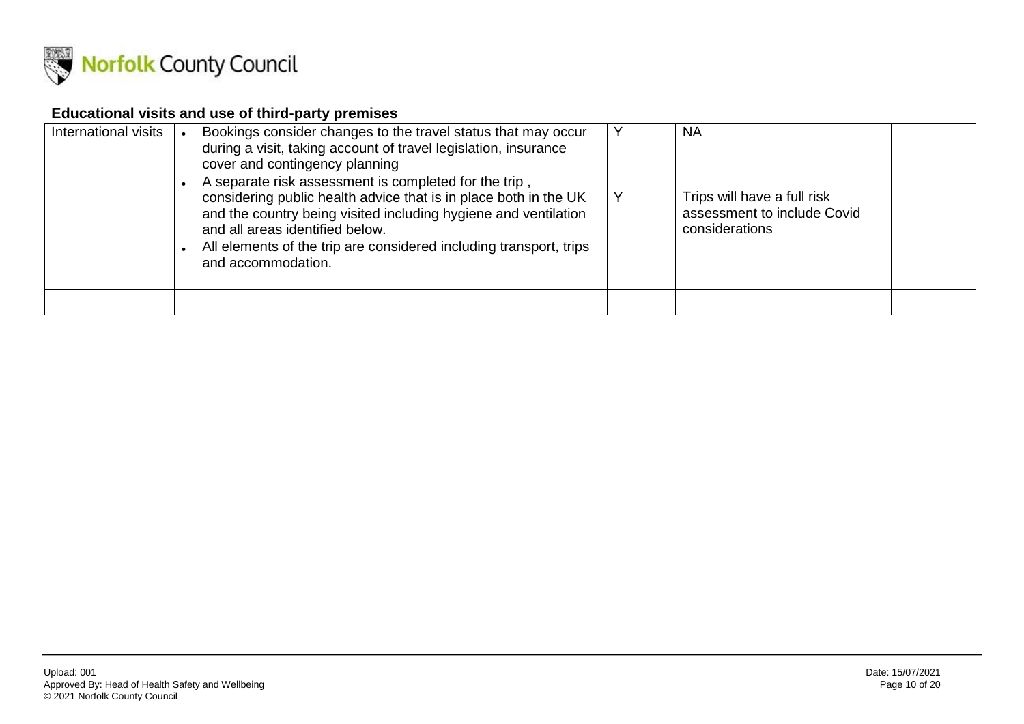

#### **Educational visits and use of third-party premises**

<span id="page-9-0"></span>

| International visits | Bookings consider changes to the travel status that may occur<br>during a visit, taking account of travel legislation, insurance<br>cover and contingency planning<br>A separate risk assessment is completed for the trip,<br>considering public health advice that is in place both in the UK<br>and the country being visited including hygiene and ventilation<br>and all areas identified below.<br>All elements of the trip are considered including transport, trips<br>and accommodation. | v | <b>NA</b><br>Trips will have a full risk<br>assessment to include Covid<br>considerations |  |
|----------------------|---------------------------------------------------------------------------------------------------------------------------------------------------------------------------------------------------------------------------------------------------------------------------------------------------------------------------------------------------------------------------------------------------------------------------------------------------------------------------------------------------|---|-------------------------------------------------------------------------------------------|--|
|                      |                                                                                                                                                                                                                                                                                                                                                                                                                                                                                                   |   |                                                                                           |  |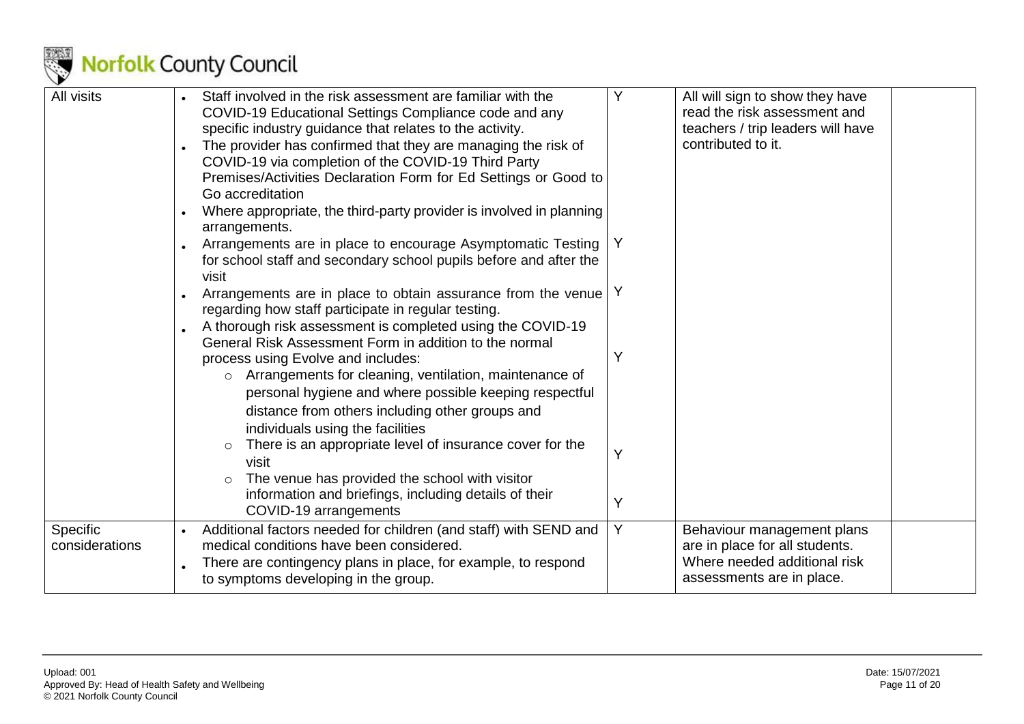

| All visits                 | Staff involved in the risk assessment are familiar with the<br>COVID-19 Educational Settings Compliance code and any<br>specific industry guidance that relates to the activity.        | Y | All will sign to show they have<br>read the risk assessment and<br>teachers / trip leaders will have |  |
|----------------------------|-----------------------------------------------------------------------------------------------------------------------------------------------------------------------------------------|---|------------------------------------------------------------------------------------------------------|--|
|                            | The provider has confirmed that they are managing the risk of<br>COVID-19 via completion of the COVID-19 Third Party<br>Premises/Activities Declaration Form for Ed Settings or Good to |   | contributed to it.                                                                                   |  |
|                            | Go accreditation                                                                                                                                                                        |   |                                                                                                      |  |
|                            | Where appropriate, the third-party provider is involved in planning<br>arrangements.                                                                                                    |   |                                                                                                      |  |
|                            | Arrangements are in place to encourage Asymptomatic Testing<br>for school staff and secondary school pupils before and after the<br>visit                                               |   |                                                                                                      |  |
|                            | Arrangements are in place to obtain assurance from the venue<br>regarding how staff participate in regular testing.                                                                     |   |                                                                                                      |  |
|                            | A thorough risk assessment is completed using the COVID-19<br>General Risk Assessment Form in addition to the normal                                                                    |   |                                                                                                      |  |
|                            | process using Evolve and includes:                                                                                                                                                      | Υ |                                                                                                      |  |
|                            | Arrangements for cleaning, ventilation, maintenance of<br>$\circ$<br>personal hygiene and where possible keeping respectful                                                             |   |                                                                                                      |  |
|                            | distance from others including other groups and<br>individuals using the facilities                                                                                                     |   |                                                                                                      |  |
|                            | There is an appropriate level of insurance cover for the<br>$\circ$<br>visit                                                                                                            | Y |                                                                                                      |  |
|                            | The venue has provided the school with visitor<br>information and briefings, including details of their<br>COVID-19 arrangements                                                        | Y |                                                                                                      |  |
| Specific<br>considerations | Additional factors needed for children (and staff) with SEND and<br>medical conditions have been considered.                                                                            | Y | Behaviour management plans<br>are in place for all students.                                         |  |
|                            | There are contingency plans in place, for example, to respond<br>to symptoms developing in the group.                                                                                   |   | Where needed additional risk<br>assessments are in place.                                            |  |
|                            |                                                                                                                                                                                         |   |                                                                                                      |  |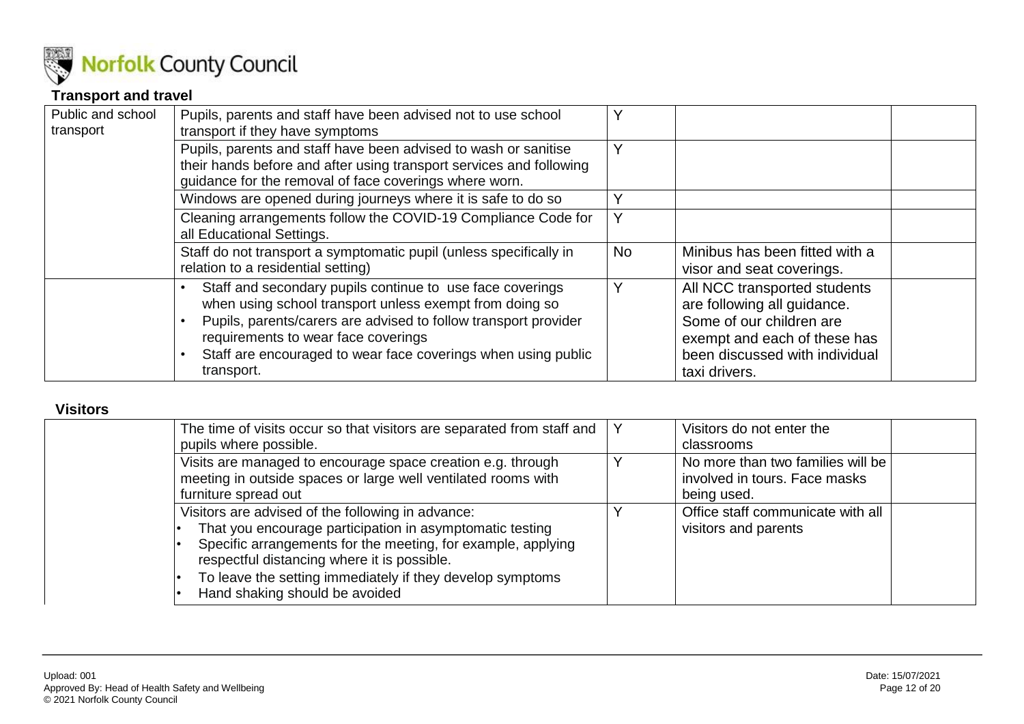

#### **Transport and travel**

| Public and school<br>transport | Pupils, parents and staff have been advised not to use school<br>transport if they have symptoms                                                                                                                                                                                                              | Y         |                                                                                                                                                                            |
|--------------------------------|---------------------------------------------------------------------------------------------------------------------------------------------------------------------------------------------------------------------------------------------------------------------------------------------------------------|-----------|----------------------------------------------------------------------------------------------------------------------------------------------------------------------------|
|                                | Pupils, parents and staff have been advised to wash or sanitise<br>their hands before and after using transport services and following<br>guidance for the removal of face coverings where worn.                                                                                                              | Υ         |                                                                                                                                                                            |
|                                | Windows are opened during journeys where it is safe to do so                                                                                                                                                                                                                                                  | ∨         |                                                                                                                                                                            |
|                                | Cleaning arrangements follow the COVID-19 Compliance Code for<br>all Educational Settings.                                                                                                                                                                                                                    | Υ         |                                                                                                                                                                            |
|                                | Staff do not transport a symptomatic pupil (unless specifically in<br>relation to a residential setting)                                                                                                                                                                                                      | <b>No</b> | Minibus has been fitted with a<br>visor and seat coverings.                                                                                                                |
|                                | Staff and secondary pupils continue to use face coverings<br>when using school transport unless exempt from doing so<br>Pupils, parents/carers are advised to follow transport provider<br>requirements to wear face coverings<br>Staff are encouraged to wear face coverings when using public<br>transport. | v         | All NCC transported students<br>are following all guidance.<br>Some of our children are<br>exempt and each of these has<br>been discussed with individual<br>taxi drivers. |

#### <span id="page-11-0"></span>**Visitors**

<span id="page-11-1"></span>

| The time of visits occur so that visitors are separated from staff and<br>pupils where possible.                                                                                                                                                                                                                            | Visitors do not enter the<br>classrooms                                           |  |
|-----------------------------------------------------------------------------------------------------------------------------------------------------------------------------------------------------------------------------------------------------------------------------------------------------------------------------|-----------------------------------------------------------------------------------|--|
| Visits are managed to encourage space creation e.g. through<br>meeting in outside spaces or large well ventilated rooms with<br>furniture spread out                                                                                                                                                                        | No more than two families will be<br>involved in tours. Face masks<br>being used. |  |
| Visitors are advised of the following in advance:<br>That you encourage participation in asymptomatic testing<br>Specific arrangements for the meeting, for example, applying<br>respectful distancing where it is possible.<br>To leave the setting immediately if they develop symptoms<br>Hand shaking should be avoided | Office staff communicate with all<br>visitors and parents                         |  |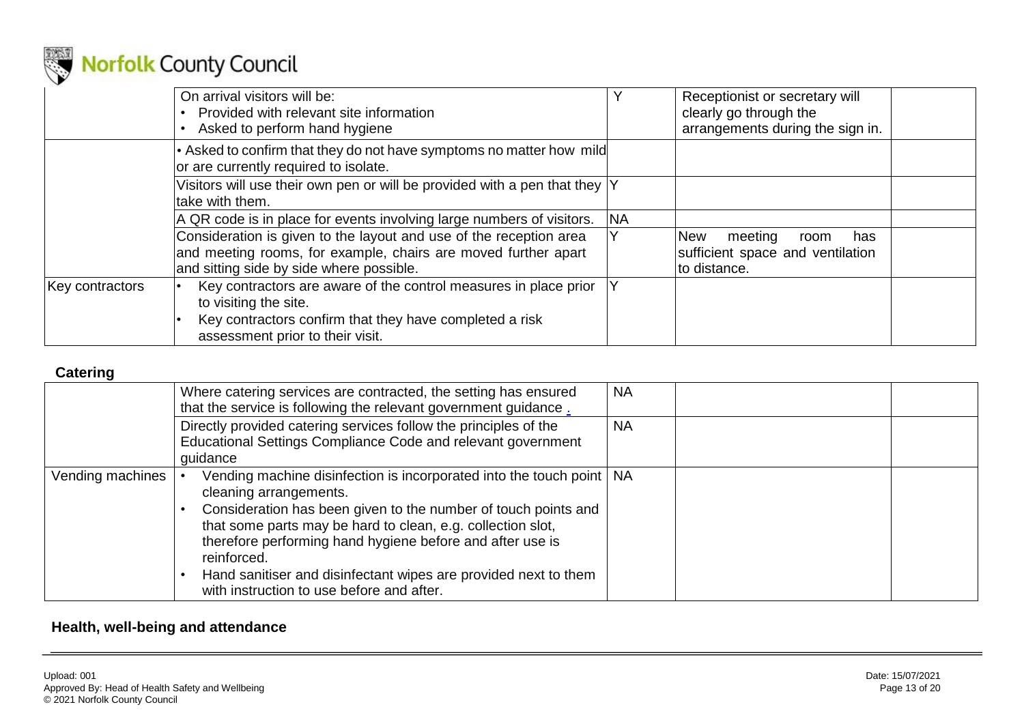

|                 | On arrival visitors will be:<br>Provided with relevant site information<br>Asked to perform hand hygiene                                                                                 |           | Receptionist or secretary will<br>clearly go through the<br>arrangements during the sign in. |
|-----------------|------------------------------------------------------------------------------------------------------------------------------------------------------------------------------------------|-----------|----------------------------------------------------------------------------------------------|
|                 | • Asked to confirm that they do not have symptoms no matter how mild<br>or are currently required to isolate.                                                                            |           |                                                                                              |
|                 | Visitors will use their own pen or will be provided with a pen that they $ Y $<br>take with them.                                                                                        |           |                                                                                              |
|                 | A QR code is in place for events involving large numbers of visitors.                                                                                                                    | <b>NA</b> |                                                                                              |
|                 | Consideration is given to the layout and use of the reception area<br>and meeting rooms, for example, chairs are moved further apart<br>and sitting side by side where possible.         |           | <b>New</b><br>meeting<br>has<br>room<br>sufficient space and ventilation<br>to distance.     |
| Key contractors | Key contractors are aware of the control measures in place prior<br>to visiting the site.<br>Key contractors confirm that they have completed a risk<br>assessment prior to their visit. |           |                                                                                              |

#### **Catering**

|                  | Where catering services are contracted, the setting has ensured<br>that the service is following the relevant government guidance.                                                                                                                                                                                                                                                                                            | <b>NA</b> |
|------------------|-------------------------------------------------------------------------------------------------------------------------------------------------------------------------------------------------------------------------------------------------------------------------------------------------------------------------------------------------------------------------------------------------------------------------------|-----------|
|                  | Directly provided catering services follow the principles of the<br>Educational Settings Compliance Code and relevant government<br>quidance                                                                                                                                                                                                                                                                                  | <b>NA</b> |
| Vending machines | Vending machine disinfection is incorporated into the touch point   NA<br>cleaning arrangements.<br>Consideration has been given to the number of touch points and<br>that some parts may be hard to clean, e.g. collection slot,<br>therefore performing hand hygiene before and after use is<br>reinforced.<br>Hand sanitiser and disinfectant wipes are provided next to them<br>with instruction to use before and after. |           |

#### <span id="page-12-1"></span><span id="page-12-0"></span>**Health, well-being and attendance**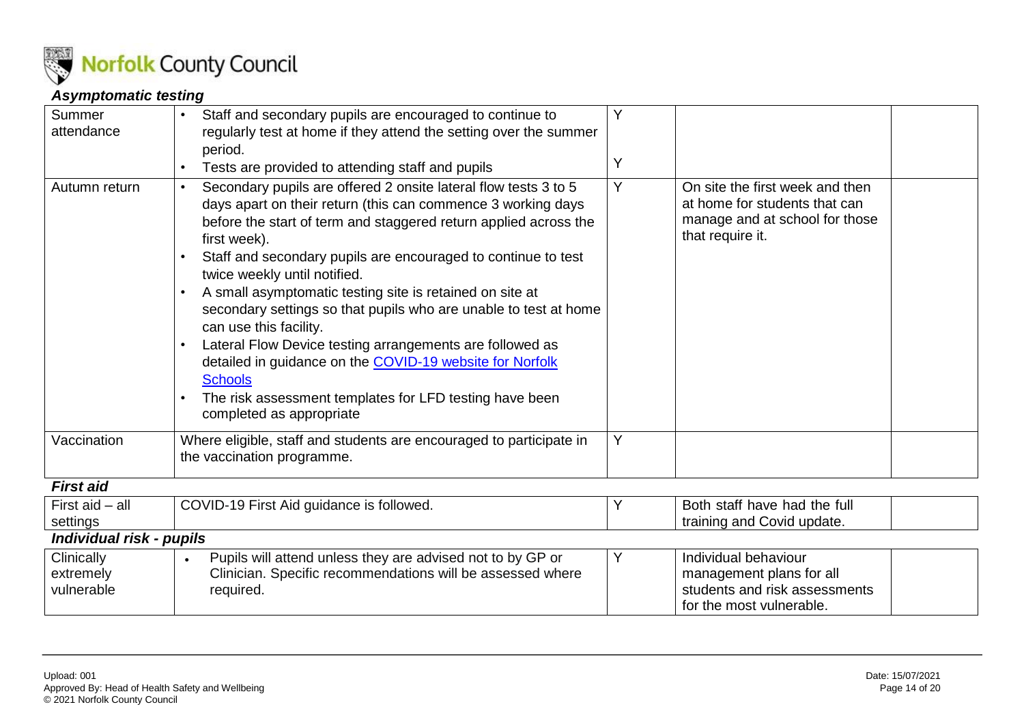

#### *Asymptomatic testing*

| Summer                   | Staff and secondary pupils are encouraged to continue to                                                                                                                                                                                                                                                                                                                                                                                                                                                                                                                                                                                                                                                        | Y |                                                                                                                        |  |
|--------------------------|-----------------------------------------------------------------------------------------------------------------------------------------------------------------------------------------------------------------------------------------------------------------------------------------------------------------------------------------------------------------------------------------------------------------------------------------------------------------------------------------------------------------------------------------------------------------------------------------------------------------------------------------------------------------------------------------------------------------|---|------------------------------------------------------------------------------------------------------------------------|--|
| attendance               | regularly test at home if they attend the setting over the summer                                                                                                                                                                                                                                                                                                                                                                                                                                                                                                                                                                                                                                               |   |                                                                                                                        |  |
|                          | period.                                                                                                                                                                                                                                                                                                                                                                                                                                                                                                                                                                                                                                                                                                         |   |                                                                                                                        |  |
|                          | Tests are provided to attending staff and pupils                                                                                                                                                                                                                                                                                                                                                                                                                                                                                                                                                                                                                                                                | Υ |                                                                                                                        |  |
| Autumn return            | Secondary pupils are offered 2 onsite lateral flow tests 3 to 5<br>days apart on their return (this can commence 3 working days<br>before the start of term and staggered return applied across the<br>first week).<br>Staff and secondary pupils are encouraged to continue to test<br>twice weekly until notified.<br>A small asymptomatic testing site is retained on site at<br>secondary settings so that pupils who are unable to test at home<br>can use this facility.<br>Lateral Flow Device testing arrangements are followed as<br>detailed in guidance on the COVID-19 website for Norfolk<br><b>Schools</b><br>The risk assessment templates for LFD testing have been<br>completed as appropriate | Y | On site the first week and then<br>at home for students that can<br>manage and at school for those<br>that require it. |  |
| Vaccination              | Where eligible, staff and students are encouraged to participate in                                                                                                                                                                                                                                                                                                                                                                                                                                                                                                                                                                                                                                             | Y |                                                                                                                        |  |
|                          | the vaccination programme.                                                                                                                                                                                                                                                                                                                                                                                                                                                                                                                                                                                                                                                                                      |   |                                                                                                                        |  |
| <b>First aid</b>         |                                                                                                                                                                                                                                                                                                                                                                                                                                                                                                                                                                                                                                                                                                                 |   |                                                                                                                        |  |
| First $aid - all$        | COVID-19 First Aid guidance is followed.                                                                                                                                                                                                                                                                                                                                                                                                                                                                                                                                                                                                                                                                        |   | Both staff have had the full                                                                                           |  |
| settings                 |                                                                                                                                                                                                                                                                                                                                                                                                                                                                                                                                                                                                                                                                                                                 |   | training and Covid update.                                                                                             |  |
| Individual risk - pupils |                                                                                                                                                                                                                                                                                                                                                                                                                                                                                                                                                                                                                                                                                                                 |   |                                                                                                                        |  |
| Clinically               | Pupils will attend unless they are advised not to by GP or<br>$\bullet$                                                                                                                                                                                                                                                                                                                                                                                                                                                                                                                                                                                                                                         | Υ | Individual behaviour                                                                                                   |  |

Clinician. Specific recommendations will be assessed where

required.

<span id="page-13-2"></span><span id="page-13-1"></span><span id="page-13-0"></span>extremely vulnerable

management plans for all students and risk assessments

for the most vulnerable.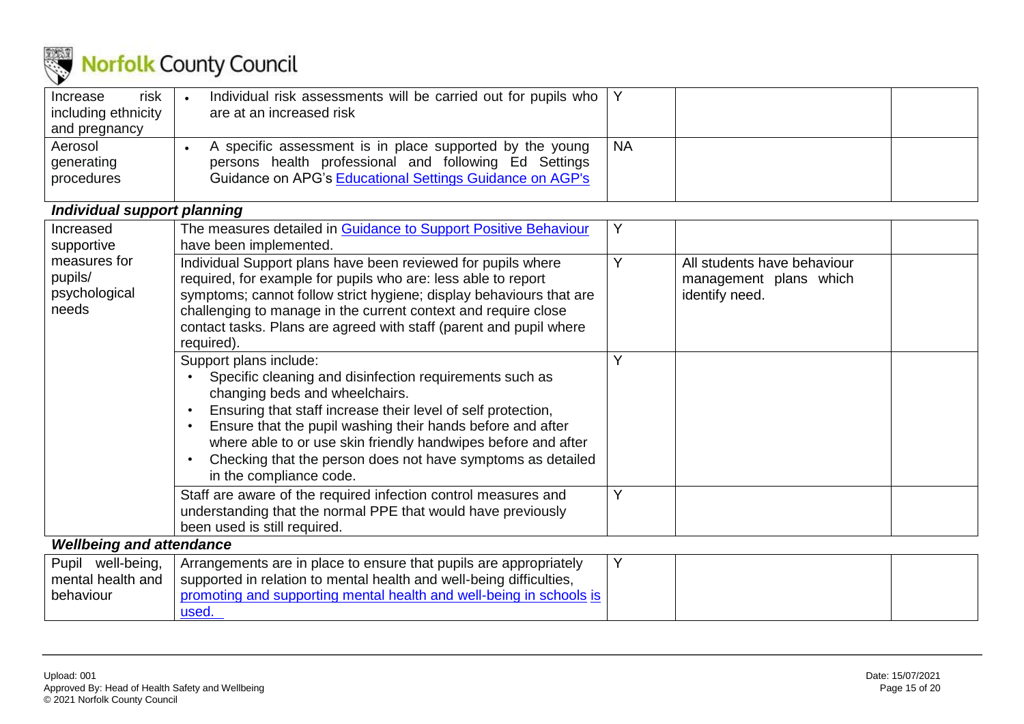

| risk<br>Increase<br>including ethnicity<br>and pregnancy | Individual risk assessments will be carried out for pupils who   Y<br>are at an increased risk                                                                                |           |  |
|----------------------------------------------------------|-------------------------------------------------------------------------------------------------------------------------------------------------------------------------------|-----------|--|
| Aerosol<br>generating<br>procedures                      | A specific assessment is in place supported by the young<br>persons health professional and following Ed Settings<br>Guidance on APG's Educational Settings Guidance on AGP's | <b>NA</b> |  |

#### *Individual support planning*

| Increased                       | The measures detailed in Guidance to Support Positive Behaviour     | Y |                             |
|---------------------------------|---------------------------------------------------------------------|---|-----------------------------|
| supportive                      | have been implemented.                                              |   |                             |
| measures for                    | Individual Support plans have been reviewed for pupils where        | Υ | All students have behaviour |
| pupils/                         | required, for example for pupils who are: less able to report       |   | management plans which      |
| psychological                   | symptoms; cannot follow strict hygiene; display behaviours that are |   | identify need.              |
| needs                           | challenging to manage in the current context and require close      |   |                             |
|                                 | contact tasks. Plans are agreed with staff (parent and pupil where  |   |                             |
|                                 | required).                                                          |   |                             |
|                                 | Support plans include:                                              | Υ |                             |
|                                 | Specific cleaning and disinfection requirements such as             |   |                             |
|                                 | changing beds and wheelchairs.                                      |   |                             |
|                                 | Ensuring that staff increase their level of self protection,        |   |                             |
|                                 | Ensure that the pupil washing their hands before and after          |   |                             |
|                                 | where able to or use skin friendly handwipes before and after       |   |                             |
|                                 | Checking that the person does not have symptoms as detailed         |   |                             |
|                                 | in the compliance code.                                             |   |                             |
|                                 | Staff are aware of the required infection control measures and      | Y |                             |
|                                 | understanding that the normal PPE that would have previously        |   |                             |
|                                 | been used is still required.                                        |   |                             |
| <b>Wellbeing and attendance</b> |                                                                     |   |                             |
| Pupil well-being,               | Arrangements are in place to ensure that pupils are appropriately   | Y |                             |
| mental health and               | supported in relation to mental health and well-being difficulties, |   |                             |

<span id="page-14-1"></span><span id="page-14-0"></span>

| mento'<br>l health and | ' supported in relation to mental health and well-being difficulties. |  |  |
|------------------------|-----------------------------------------------------------------------|--|--|
| behaviour              | ' supporting mental health and well-being<br>юнио а                   |  |  |
|                        | $rac{1}{2}$                                                           |  |  |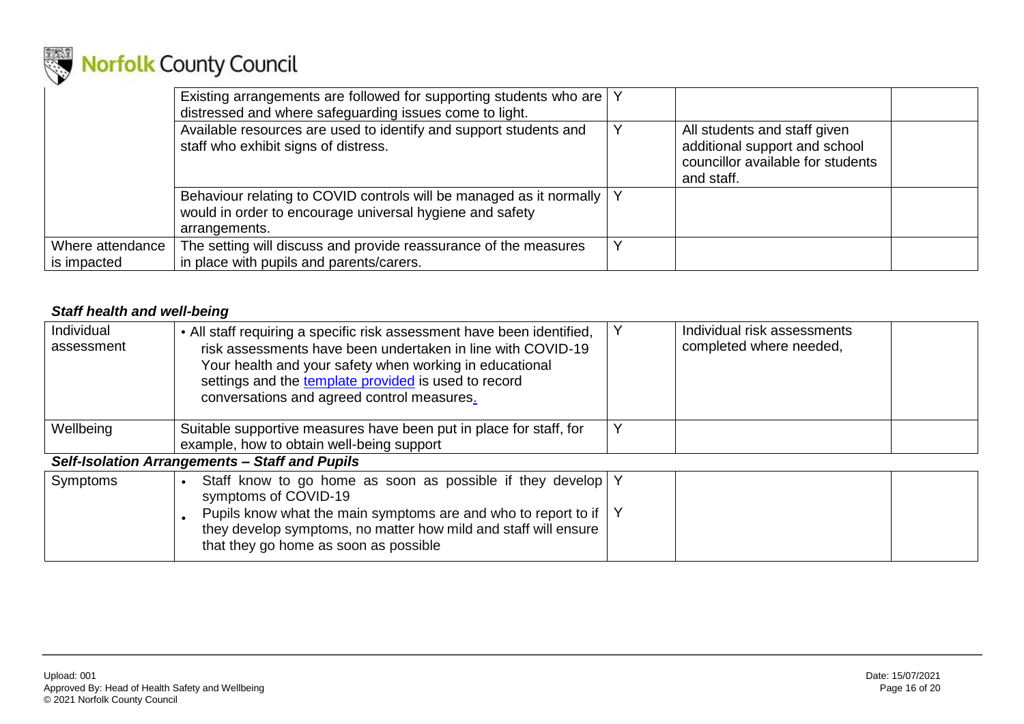

|                                 | Existing arrangements are followed for supporting students who are   Y<br>distressed and where safeguarding issues come to light.                    |   |                                                                                                                  |  |
|---------------------------------|------------------------------------------------------------------------------------------------------------------------------------------------------|---|------------------------------------------------------------------------------------------------------------------|--|
|                                 | Available resources are used to identify and support students and<br>staff who exhibit signs of distress.                                            | Y | All students and staff given<br>additional support and school<br>councillor available for students<br>and staff. |  |
|                                 | Behaviour relating to COVID controls will be managed as it normally   Y<br>would in order to encourage universal hygiene and safety<br>arrangements. |   |                                                                                                                  |  |
| Where attendance<br>is impacted | The setting will discuss and provide reassurance of the measures<br>in place with pupils and parents/carers.                                         |   |                                                                                                                  |  |

#### *Staff health and well-being*

<span id="page-15-1"></span><span id="page-15-0"></span>

| Individual<br>assessment | • All staff requiring a specific risk assessment have been identified,<br>risk assessments have been undertaken in line with COVID-19<br>Your health and your safety when working in educational<br>settings and the template provided is used to record<br>conversations and agreed control measures. |   | Individual risk assessments<br>completed where needed, |  |
|--------------------------|--------------------------------------------------------------------------------------------------------------------------------------------------------------------------------------------------------------------------------------------------------------------------------------------------------|---|--------------------------------------------------------|--|
| Wellbeing                | Suitable supportive measures have been put in place for staff, for                                                                                                                                                                                                                                     | Y |                                                        |  |
|                          | example, how to obtain well-being support                                                                                                                                                                                                                                                              |   |                                                        |  |
|                          | <b>Self-Isolation Arrangements - Staff and Pupils</b>                                                                                                                                                                                                                                                  |   |                                                        |  |
| Symptoms                 | Staff know to go home as soon as possible if they develop Y<br>symptoms of COVID-19                                                                                                                                                                                                                    |   |                                                        |  |
|                          | Pupils know what the main symptoms are and who to report to if $\vert$ Y<br>they develop symptoms, no matter how mild and staff will ensure<br>that they go home as soon as possible                                                                                                                   |   |                                                        |  |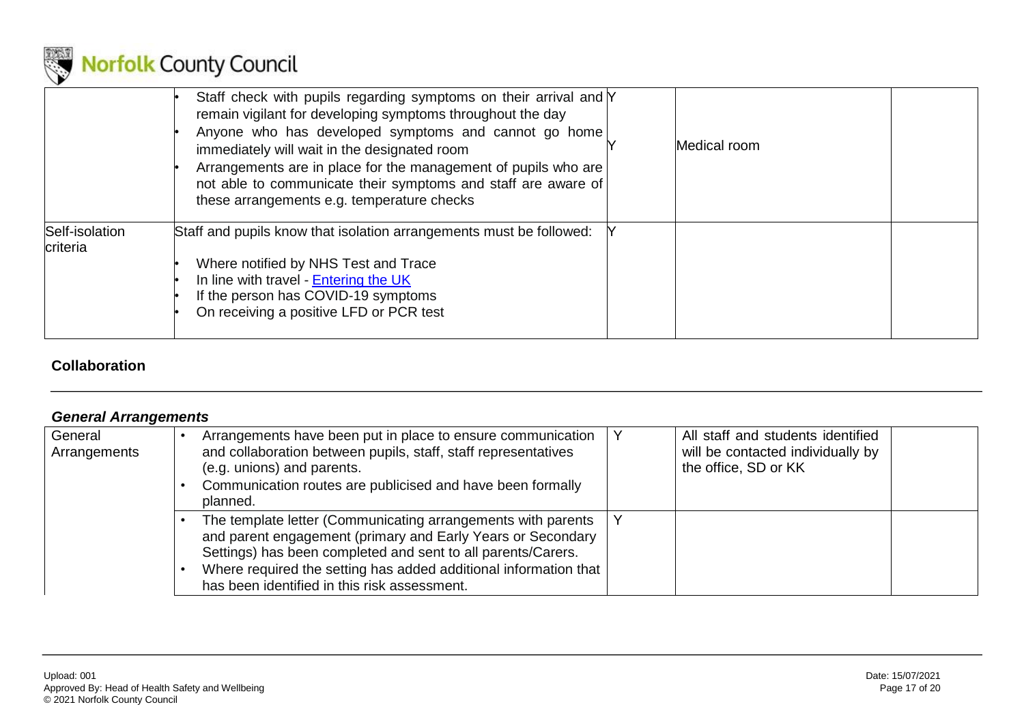

|                            | Staff check with pupils regarding symptoms on their arrival and Y<br>remain vigilant for developing symptoms throughout the day<br>Anyone who has developed symptoms and cannot go home<br>immediately will wait in the designated room<br>Arrangements are in place for the management of pupils who are<br>not able to communicate their symptoms and staff are aware of<br>these arrangements e.g. temperature checks | Medical room |  |
|----------------------------|--------------------------------------------------------------------------------------------------------------------------------------------------------------------------------------------------------------------------------------------------------------------------------------------------------------------------------------------------------------------------------------------------------------------------|--------------|--|
| Self-isolation<br>criteria | Staff and pupils know that isolation arrangements must be followed:<br>Where notified by NHS Test and Trace<br>In line with travel - Entering the UK<br>If the person has COVID-19 symptoms<br>On receiving a positive LFD or PCR test                                                                                                                                                                                   |              |  |

#### **Collaboration**

#### *General Arrangements*

<span id="page-16-1"></span><span id="page-16-0"></span>

| General<br>Arrangements | Arrangements have been put in place to ensure communication<br>and collaboration between pupils, staff, staff representatives<br>(e.g. unions) and parents.<br>Communication routes are publicised and have been formally<br>planned.                                                                           | All staff and students identified<br>will be contacted individually by<br>the office, SD or KK |  |
|-------------------------|-----------------------------------------------------------------------------------------------------------------------------------------------------------------------------------------------------------------------------------------------------------------------------------------------------------------|------------------------------------------------------------------------------------------------|--|
|                         | The template letter (Communicating arrangements with parents<br>and parent engagement (primary and Early Years or Secondary<br>Settings) has been completed and sent to all parents/Carers.<br>Where required the setting has added additional information that<br>has been identified in this risk assessment. |                                                                                                |  |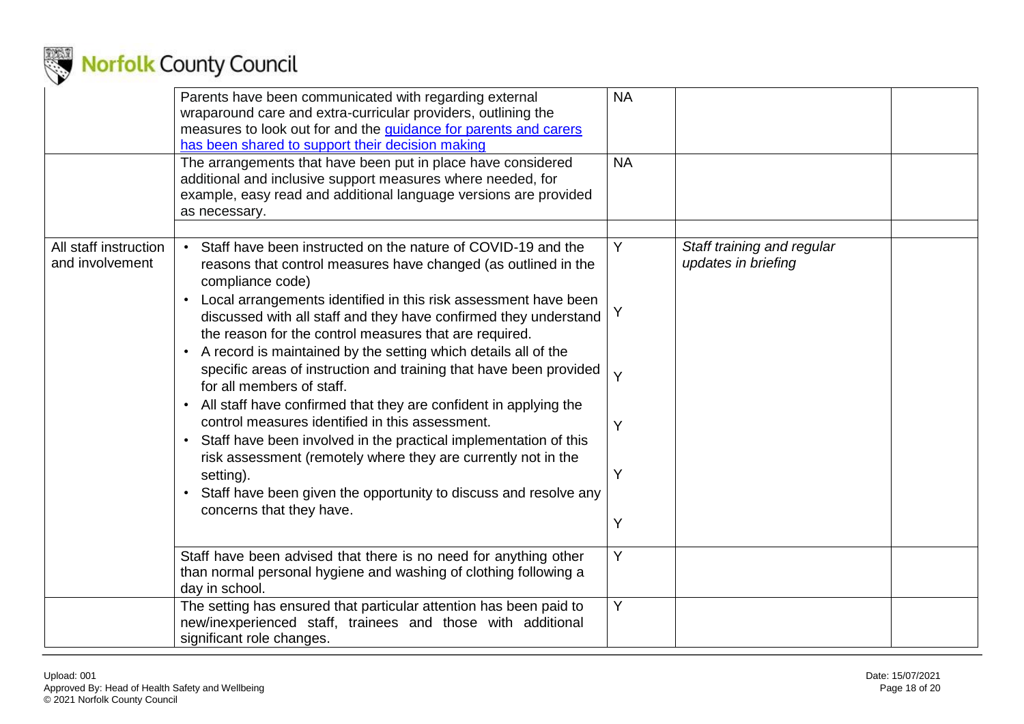

|                                          | Parents have been communicated with regarding external<br>wraparound care and extra-curricular providers, outlining the<br>measures to look out for and the guidance for parents and carers<br>has been shared to support their decision making                                                                                                                                                                                                                                                                                                                                                                                                                                                                                                                                                                                                                                                                                          | <b>NA</b>                  |                                                   |  |
|------------------------------------------|------------------------------------------------------------------------------------------------------------------------------------------------------------------------------------------------------------------------------------------------------------------------------------------------------------------------------------------------------------------------------------------------------------------------------------------------------------------------------------------------------------------------------------------------------------------------------------------------------------------------------------------------------------------------------------------------------------------------------------------------------------------------------------------------------------------------------------------------------------------------------------------------------------------------------------------|----------------------------|---------------------------------------------------|--|
|                                          | The arrangements that have been put in place have considered<br>additional and inclusive support measures where needed, for<br>example, easy read and additional language versions are provided<br>as necessary.                                                                                                                                                                                                                                                                                                                                                                                                                                                                                                                                                                                                                                                                                                                         | <b>NA</b>                  |                                                   |  |
| All staff instruction<br>and involvement | Staff have been instructed on the nature of COVID-19 and the<br>reasons that control measures have changed (as outlined in the<br>compliance code)<br>Local arrangements identified in this risk assessment have been<br>$\bullet$<br>discussed with all staff and they have confirmed they understand<br>the reason for the control measures that are required.<br>A record is maintained by the setting which details all of the<br>$\bullet$<br>specific areas of instruction and training that have been provided<br>for all members of staff.<br>All staff have confirmed that they are confident in applying the<br>$\bullet$<br>control measures identified in this assessment.<br>Staff have been involved in the practical implementation of this<br>risk assessment (remotely where they are currently not in the<br>setting).<br>Staff have been given the opportunity to discuss and resolve any<br>concerns that they have. | Y<br>Y<br>Y<br>Y<br>Y<br>Y | Staff training and regular<br>updates in briefing |  |
|                                          | Staff have been advised that there is no need for anything other<br>than normal personal hygiene and washing of clothing following a<br>day in school.                                                                                                                                                                                                                                                                                                                                                                                                                                                                                                                                                                                                                                                                                                                                                                                   | Y                          |                                                   |  |
|                                          | The setting has ensured that particular attention has been paid to<br>new/inexperienced staff, trainees and those with additional<br>significant role changes.                                                                                                                                                                                                                                                                                                                                                                                                                                                                                                                                                                                                                                                                                                                                                                           | Y                          |                                                   |  |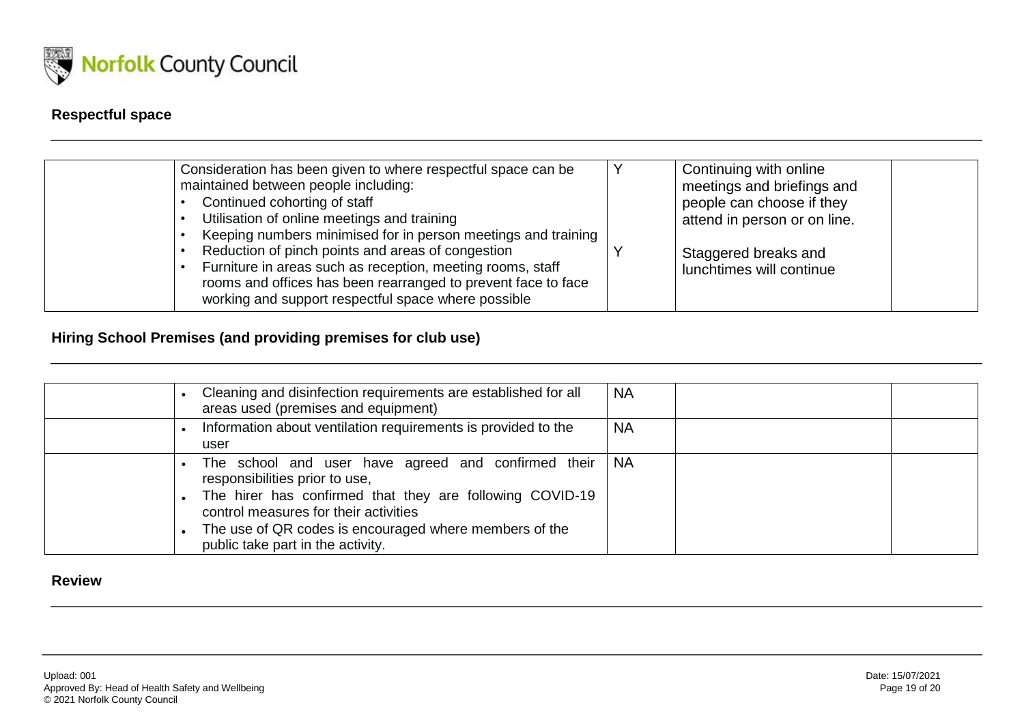

### **Respectful space**

| Consideration has been given to where respectful space can be<br>maintained between people including:<br>Continued cohorting of staff<br>Utilisation of online meetings and training<br>Keeping numbers minimised for in person meetings and training | Continuing with online<br>meetings and briefings and<br>people can choose if they<br>attend in person or on line. |
|-------------------------------------------------------------------------------------------------------------------------------------------------------------------------------------------------------------------------------------------------------|-------------------------------------------------------------------------------------------------------------------|
| Reduction of pinch points and areas of congestion<br>Furniture in areas such as reception, meeting rooms, staff<br>rooms and offices has been rearranged to prevent face to face<br>working and support respectful space where possible               | Staggered breaks and<br>lunchtimes will continue                                                                  |

#### **Hiring School Premises (and providing premises for club use)**

<span id="page-18-0"></span>

| Cleaning and disinfection requirements are established for all<br>areas used (premises and equipment)                                                                                                                                                                                     | <b>NA</b> |
|-------------------------------------------------------------------------------------------------------------------------------------------------------------------------------------------------------------------------------------------------------------------------------------------|-----------|
| Information about ventilation requirements is provided to the<br>user                                                                                                                                                                                                                     | <b>NA</b> |
| The school and user have agreed and confirmed their<br>responsibilities prior to use,<br>The hirer has confirmed that they are following COVID-19<br>control measures for their activities<br>The use of QR codes is encouraged where members of the<br>public take part in the activity. | I NA      |

#### <span id="page-18-2"></span><span id="page-18-1"></span>**Review**